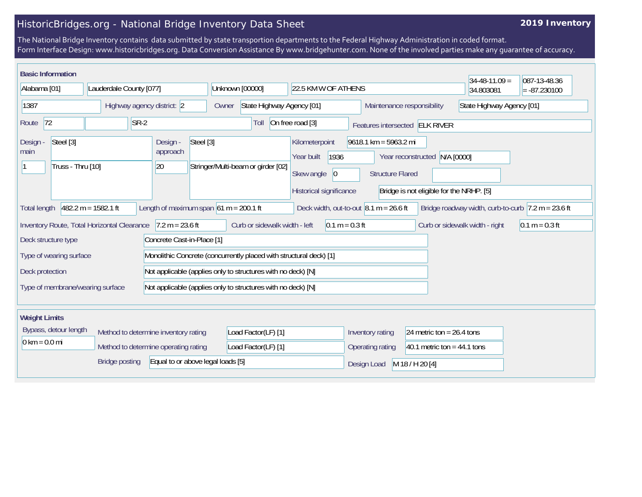## HistoricBridges.org - National Bridge Inventory Data Sheet

## **2019 Inventory**

The National Bridge Inventory contains data submitted by state transportion departments to the Federal Highway Administration in coded format. Form Interface Design: www.historicbridges.org. Data Conversion Assistance By www.bridgehunter.com. None of the involved parties make any guarantee of accuracy.

|                                                                                                                                                                                                                                                                                       | <b>Basic Information</b> |                                                                              |                                                              |                                                                                                                                                          |                                      |                                                              |                                | $34 - 48 - 11.09 =$       | 087-13-48.36   |  |
|---------------------------------------------------------------------------------------------------------------------------------------------------------------------------------------------------------------------------------------------------------------------------------------|--------------------------|------------------------------------------------------------------------------|--------------------------------------------------------------|----------------------------------------------------------------------------------------------------------------------------------------------------------|--------------------------------------|--------------------------------------------------------------|--------------------------------|---------------------------|----------------|--|
| Alabama [01]                                                                                                                                                                                                                                                                          |                          | Lauderdale County [077]                                                      |                                                              | Unknown [00000]                                                                                                                                          | 22.5 KM W OF ATHENS                  |                                                              |                                | 34.803081                 | $= -87.230100$ |  |
| 1387                                                                                                                                                                                                                                                                                  |                          | Highway agency district: 2                                                   |                                                              | State Highway Agency [01]<br>Owner                                                                                                                       |                                      | Maintenance responsibility                                   |                                | State Highway Agency [01] |                |  |
| 72<br>Route                                                                                                                                                                                                                                                                           |                          |                                                                              | $SR-2$                                                       | Toll                                                                                                                                                     | On free road [3]                     |                                                              | Features intersected ELK RIVER |                           |                |  |
| Steel [3]<br>Design -<br>main<br>Truss - Thru [10]                                                                                                                                                                                                                                    |                          | Steel [3]<br>Design -<br>approach<br>20                                      | Stringer/Multi-beam or girder [02]                           | Kilometerpoint<br>$9618.1$ km = 5963.2 mi<br>1936<br>Year built<br>Year reconstructed N/A [0000]<br>Skew angle<br>$ 0\rangle$<br><b>Structure Flared</b> |                                      |                                                              |                                |                           |                |  |
| Historical significance<br>Bridge is not eligible for the NRHP. [5]<br>Length of maximum span $61 m = 200.1 ft$<br>$482.2 m = 1582.1 ft$<br>Deck width, out-to-out $8.1 m = 26.6 ft$<br>Bridge roadway width, curb-to-curb $ 7.2 \text{ m} = 23.6 \text{ ft} $<br><b>Total length</b> |                          |                                                                              |                                                              |                                                                                                                                                          |                                      |                                                              |                                |                           |                |  |
| $7.2 m = 23.6 ft$<br>Curb or sidewalk width - left<br>Inventory Route, Total Horizontal Clearance<br>$0.1 m = 0.3 ft$<br>Curb or sidewalk width - right<br>$0.1 m = 0.3 ft$                                                                                                           |                          |                                                                              |                                                              |                                                                                                                                                          |                                      |                                                              |                                |                           |                |  |
| Concrete Cast-in-Place [1]<br>Deck structure type                                                                                                                                                                                                                                     |                          |                                                                              |                                                              |                                                                                                                                                          |                                      |                                                              |                                |                           |                |  |
| Type of wearing surface                                                                                                                                                                                                                                                               |                          |                                                                              |                                                              | Monolithic Concrete (concurrently placed with structural deck) [1]                                                                                       |                                      |                                                              |                                |                           |                |  |
| Deck protection                                                                                                                                                                                                                                                                       |                          |                                                                              | Not applicable (applies only to structures with no deck) [N] |                                                                                                                                                          |                                      |                                                              |                                |                           |                |  |
| Type of membrane/wearing surface                                                                                                                                                                                                                                                      |                          |                                                                              |                                                              | Not applicable (applies only to structures with no deck) [N]                                                                                             |                                      |                                                              |                                |                           |                |  |
| <b>Weight Limits</b>                                                                                                                                                                                                                                                                  |                          |                                                                              |                                                              |                                                                                                                                                          |                                      |                                                              |                                |                           |                |  |
| Bypass, detour length<br>$0 \text{ km} = 0.0 \text{ mi}$<br><b>Bridge posting</b>                                                                                                                                                                                                     |                          | Method to determine inventory rating<br>Method to determine operating rating | Load Factor(LF) [1]<br>Load Factor(LF) [1]                   |                                                                                                                                                          | Inventory rating<br>Operating rating | 24 metric ton = $26.4$ tons<br>40.1 metric ton = $44.1$ tons |                                |                           |                |  |
|                                                                                                                                                                                                                                                                                       |                          | Equal to or above legal loads [5]                                            |                                                              |                                                                                                                                                          | M 18 / H 20 [4]<br>Design Load       |                                                              |                                |                           |                |  |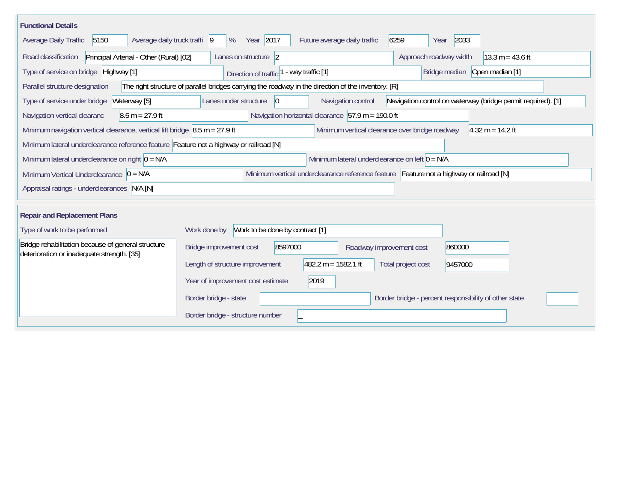| <b>Functional Details</b>                                                                                                             |                                                                                                                            |  |  |  |  |  |
|---------------------------------------------------------------------------------------------------------------------------------------|----------------------------------------------------------------------------------------------------------------------------|--|--|--|--|--|
| 5150<br>Average daily truck traffi 9<br>Average Daily Traffic                                                                         | Year 2017<br>6259<br>2033<br>%<br>Future average daily traffic<br>Year                                                     |  |  |  |  |  |
| Road classification<br>Principal Arterial - Other (Rural) [02]                                                                        | Approach roadway width<br>$13.3 m = 43.6 ft$<br>Lanes on structure 2                                                       |  |  |  |  |  |
| Type of service on bridge Highway [1]                                                                                                 | Bridge median Open median [1]<br>- way traffic [1]<br>Direction of traffic                                                 |  |  |  |  |  |
| Parallel structure designation                                                                                                        | The right structure of parallel bridges carrying the roadway in the direction of the inventory. [R]                        |  |  |  |  |  |
| Type of service under bridge<br>Waterway [5]                                                                                          | Navigation control on waterway (bridge permit required). [1]<br>Lanes under structure<br>$ 0\rangle$<br>Navigation control |  |  |  |  |  |
| $8.5 m = 27.9 ft$<br>Navigation vertical clearanc                                                                                     | Navigation horizontal clearance $57.9 \text{ m} = 190.0 \text{ ft}$                                                        |  |  |  |  |  |
| Minimum navigation vertical clearance, vertical lift bridge $\,$ 8.5 m = 27.9 ft                                                      | Minimum vertical clearance over bridge roadway<br>$4.32 m = 14.2 ft$                                                       |  |  |  |  |  |
| Minimum lateral underclearance reference feature Feature not a highway or railroad [N]                                                |                                                                                                                            |  |  |  |  |  |
| Minimum lateral underclearance on left $0 = N/A$<br>Minimum lateral underclearance on right $0 = N/A$                                 |                                                                                                                            |  |  |  |  |  |
| Minimum vertical underclearance reference feature Feature not a highway or railroad [N]<br>Minimum Vertical Underclearance $ 0 = N/A$ |                                                                                                                            |  |  |  |  |  |
| Appraisal ratings - underclearances N/A [N]                                                                                           |                                                                                                                            |  |  |  |  |  |
|                                                                                                                                       |                                                                                                                            |  |  |  |  |  |
| <b>Repair and Replacement Plans</b>                                                                                                   |                                                                                                                            |  |  |  |  |  |
| Type of work to be performed                                                                                                          | Work to be done by contract [1]<br>Work done by                                                                            |  |  |  |  |  |
| Bridge rehabilitation because of general structure<br>deterioration or inadequate strength. [35]                                      | 8597000<br>860000<br>Bridge improvement cost<br>Roadway improvement cost                                                   |  |  |  |  |  |
|                                                                                                                                       | $482.2 m = 1582.1 ft$<br>Length of structure improvement<br>Total project cost<br>9457000                                  |  |  |  |  |  |
|                                                                                                                                       | 2019<br>Year of improvement cost estimate                                                                                  |  |  |  |  |  |
|                                                                                                                                       | Border bridge - state<br>Border bridge - percent responsibility of other state                                             |  |  |  |  |  |
|                                                                                                                                       | Border bridge - structure number                                                                                           |  |  |  |  |  |